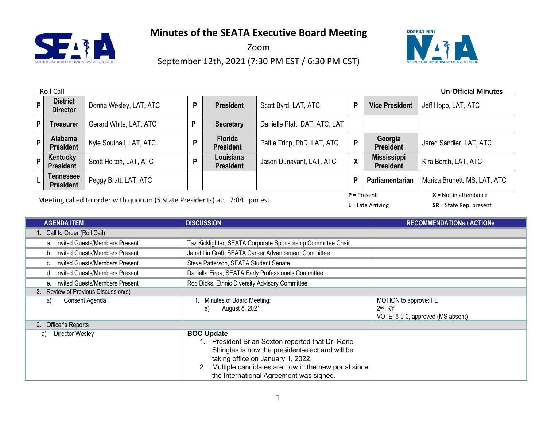

Zoom

September 12th, 2021 (7:30 PM EST / 6:30 PM CST)



|              | <b>Roll Call</b><br><b>Un-Official Minutes</b> |                         |   |                                    |                               |              |                                        |                              |
|--------------|------------------------------------------------|-------------------------|---|------------------------------------|-------------------------------|--------------|----------------------------------------|------------------------------|
| $\mathsf{P}$ | <b>District</b><br><b>Director</b>             | Donna Wesley, LAT, ATC  | P | <b>President</b>                   | Scott Byrd, LAT, ATC          | P            | <b>Vice President</b>                  | Jeff Hopp, LAT, ATC          |
| P            | Treasurer                                      | Gerard White, LAT, ATC  | P | <b>Secretary</b>                   | Danielle Platt, DAT, ATC, LAT |              |                                        |                              |
| P            | <b>Alabama</b><br><b>President</b>             | Kyle Southall, LAT, ATC | D | <b>Florida</b><br><b>President</b> | Pattie Tripp, PhD, LAT, ATC   | P            | Georgia<br><b>President</b>            | Jared Sandler, LAT, ATC      |
| P            | Kentucky<br><b>President</b>                   | Scott Helton, LAT, ATC  |   | Louisiana<br><b>President</b>      | Jason Dunavant, LAT, ATC      | $\pmb{\chi}$ | <b>Mississippi</b><br><b>President</b> | Kira Berch, LAT, ATC         |
|              | Tennessee<br><b>President</b>                  | Peggy Bratt, LAT, ATC   |   |                                    |                               | P            | Parliamentarian                        | Marisa Brunett, MS, LAT, ATC |
|              | $P = Present$<br>$X = Not in attendance$       |                         |   |                                    |                               |              |                                        |                              |

Meeting called to order with quorum (5 State Presidents) at: 7:04 pm est

**L** = Late Arriving **SR** = State Rep. present

| <b>AGENDA ITEM</b>                  | <b>DISCUSSION</b>                                                                                                                                                                                                                                               | <b>RECOMMENDATIONS / ACTIONS</b>                                         |
|-------------------------------------|-----------------------------------------------------------------------------------------------------------------------------------------------------------------------------------------------------------------------------------------------------------------|--------------------------------------------------------------------------|
| 1. Call to Order (Roll Call)        |                                                                                                                                                                                                                                                                 |                                                                          |
| a. Invited Guests/Members Present   | Taz Kicklighter, SEATA Corporate Sponsorship Committee Chair                                                                                                                                                                                                    |                                                                          |
| b. Invited Guests/Members Present   | Janet Lin Craft, SEATA Career Advancement Committee                                                                                                                                                                                                             |                                                                          |
| c. Invited Guests/Members Present   | Steve Patterson, SEATA Student Senate                                                                                                                                                                                                                           |                                                                          |
| d. Invited Guests/Members Present   | Daniella Eiroa, SEATA Early Professionals Committee                                                                                                                                                                                                             |                                                                          |
| e. Invited Guests/Members Present   | Rob Dicks, Ethnic Diversity Advisory Committee                                                                                                                                                                                                                  |                                                                          |
| 2. Review of Previous Discussion(s) |                                                                                                                                                                                                                                                                 |                                                                          |
| Consent Agenda<br>a)                | Minutes of Board Meeting:<br>August 8, 2021<br>a)                                                                                                                                                                                                               | MOTION to approve: FL<br>$2nd$ : KY<br>VOTE: 6-0-0, approved (MS absent) |
| 2. Officer's Reports                |                                                                                                                                                                                                                                                                 |                                                                          |
| Director Wesley<br>a)               | <b>BOC Update</b><br>1. President Brian Sexton reported that Dr. Rene<br>Shingles is now the president-elect and will be<br>taking office on January 1, 2022.<br>Multiple candidates are now in the new portal since<br>the International Agreement was signed. |                                                                          |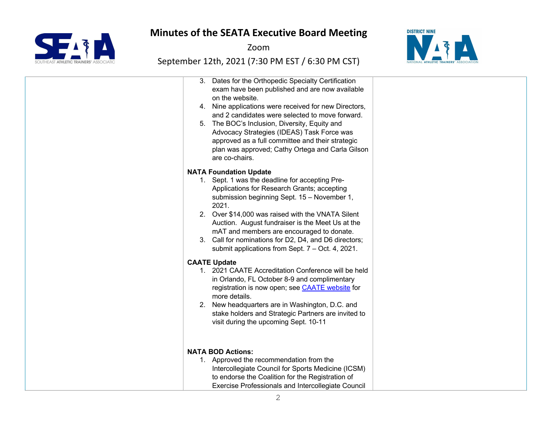

Zoom



| 3. Dates for the Orthopedic Specialty Certification<br>exam have been published and are now available<br>on the website.<br>4. Nine applications were received for new Directors,<br>and 2 candidates were selected to move forward.<br>5. The BOC's Inclusion, Diversity, Equity and<br>Advocacy Strategies (IDEAS) Task Force was<br>approved as a full committee and their strategic<br>plan was approved; Cathy Ortega and Carla Gilson<br>are co-chairs. |  |
|---------------------------------------------------------------------------------------------------------------------------------------------------------------------------------------------------------------------------------------------------------------------------------------------------------------------------------------------------------------------------------------------------------------------------------------------------------------|--|
| <b>NATA Foundation Update</b><br>1. Sept. 1 was the deadline for accepting Pre-<br>Applications for Research Grants; accepting<br>submission beginning Sept. 15 - November 1,<br>2021.<br>2. Over \$14,000 was raised with the VNATA Silent<br>Auction. August fundraiser is the Meet Us at the<br>mAT and members are encouraged to donate.<br>3. Call for nominations for D2, D4, and D6 directors;<br>submit applications from Sept. 7 - Oct. 4, 2021.     |  |
| <b>CAATE Update</b><br>1. 2021 CAATE Accreditation Conference will be held<br>in Orlando, FL October 8-9 and complimentary<br>registration is now open; see CAATE website for<br>more details.<br>2. New headquarters are in Washington, D.C. and<br>stake holders and Strategic Partners are invited to<br>visit during the upcoming Sept. 10-11                                                                                                             |  |
| <b>NATA BOD Actions:</b><br>1. Approved the recommendation from the<br>Intercollegiate Council for Sports Medicine (ICSM)<br>to endorse the Coalition for the Registration of<br>Exercise Professionals and Intercollegiate Council                                                                                                                                                                                                                           |  |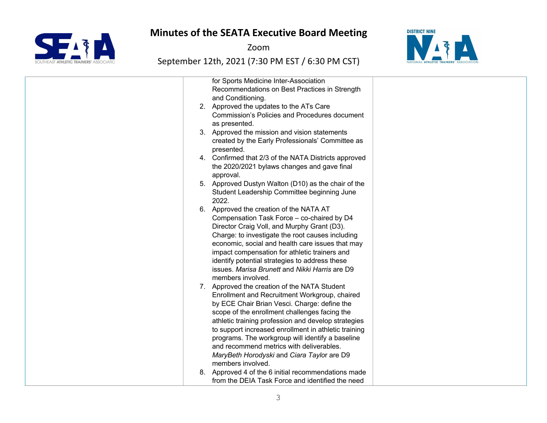

Zoom



|  | for Sports Medicine Inter-Association                                                                       |  |
|--|-------------------------------------------------------------------------------------------------------------|--|
|  | Recommendations on Best Practices in Strength                                                               |  |
|  | and Conditioning.                                                                                           |  |
|  | 2. Approved the updates to the ATs Care                                                                     |  |
|  | <b>Commission's Policies and Procedures document</b>                                                        |  |
|  | as presented.                                                                                               |  |
|  | 3. Approved the mission and vision statements                                                               |  |
|  | created by the Early Professionals' Committee as                                                            |  |
|  | presented.                                                                                                  |  |
|  | 4. Confirmed that 2/3 of the NATA Districts approved                                                        |  |
|  | the 2020/2021 bylaws changes and gave final                                                                 |  |
|  | approval.                                                                                                   |  |
|  | 5. Approved Dustyn Walton (D10) as the chair of the                                                         |  |
|  | Student Leadership Committee beginning June                                                                 |  |
|  | 2022.                                                                                                       |  |
|  | 6. Approved the creation of the NATA AT                                                                     |  |
|  | Compensation Task Force - co-chaired by D4                                                                  |  |
|  | Director Craig Voll, and Murphy Grant (D3).                                                                 |  |
|  | Charge: to investigate the root causes including                                                            |  |
|  | economic, social and health care issues that may                                                            |  |
|  | impact compensation for athletic trainers and                                                               |  |
|  | identify potential strategies to address these                                                              |  |
|  | issues. Marisa Brunett and Nikki Harris are D9                                                              |  |
|  | members involved.                                                                                           |  |
|  | 7. Approved the creation of the NATA Student                                                                |  |
|  | Enrollment and Recruitment Workgroup, chaired                                                               |  |
|  | by ECE Chair Brian Vesci. Charge: define the                                                                |  |
|  | scope of the enrollment challenges facing the                                                               |  |
|  |                                                                                                             |  |
|  | athletic training profession and develop strategies<br>to support increased enrollment in athletic training |  |
|  |                                                                                                             |  |
|  | programs. The workgroup will identify a baseline<br>and recommend metrics with deliverables.                |  |
|  | MaryBeth Horodyski and Ciara Taylor are D9                                                                  |  |
|  | members involved.                                                                                           |  |
|  |                                                                                                             |  |
|  | 8. Approved 4 of the 6 initial recommendations made                                                         |  |
|  | from the DEIA Task Force and identified the need                                                            |  |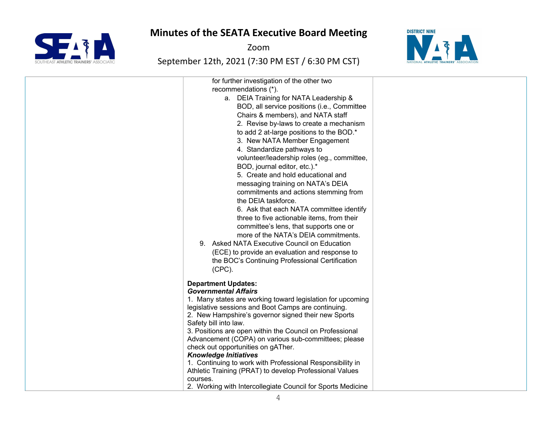SFAM HLETIC TRAINERS' ASSO

Zoom



| for further investigation of the other two<br>recommendations (*).<br>a. DEIA Training for NATA Leadership &<br>BOD, all service positions (i.e., Committee<br>Chairs & members), and NATA staff<br>2. Revise by-laws to create a mechanism<br>to add 2 at-large positions to the BOD.*<br>3. New NATA Member Engagement<br>4. Standardize pathways to<br>volunteer/leadership roles (eg., committee,<br>BOD, journal editor, etc.).*<br>5. Create and hold educational and<br>messaging training on NATA's DEIA<br>commitments and actions stemming from<br>the DEIA taskforce.<br>6. Ask that each NATA committee identify<br>three to five actionable items, from their<br>committee's lens, that supports one or<br>more of the NATA's DEIA commitments.<br>9. Asked NATA Executive Council on Education<br>(ECE) to provide an evaluation and response to<br>the BOC's Continuing Professional Certification<br>$(CPC)$ . |  |
|--------------------------------------------------------------------------------------------------------------------------------------------------------------------------------------------------------------------------------------------------------------------------------------------------------------------------------------------------------------------------------------------------------------------------------------------------------------------------------------------------------------------------------------------------------------------------------------------------------------------------------------------------------------------------------------------------------------------------------------------------------------------------------------------------------------------------------------------------------------------------------------------------------------------------------|--|
| <b>Department Updates:</b><br><b>Governmental Affairs</b><br>1. Many states are working toward legislation for upcoming<br>legislative sessions and Boot Camps are continuing.<br>2. New Hampshire's governor signed their new Sports<br>Safety bill into law.<br>3. Positions are open within the Council on Professional<br>Advancement (COPA) on various sub-committees; please<br>check out opportunities on gATher.<br><b>Knowledge Initiatives</b><br>1. Continuing to work with Professional Responsibility in<br>Athletic Training (PRAT) to develop Professional Values<br>courses.<br>2. Working with Intercollegiate Council for Sports Medicine                                                                                                                                                                                                                                                                    |  |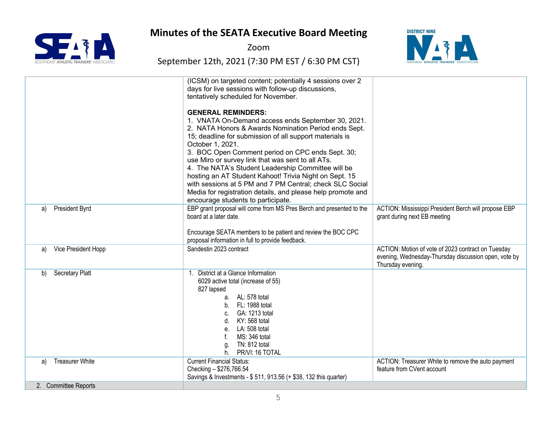

Zoom



|                              | (ICSM) on targeted content; potentially 4 sessions over 2<br>days for live sessions with follow-up discussions,<br>tentatively scheduled for November.                                                                                                                                                                                                                                                                                                                                                                                                                     |                                                                                                                                 |
|------------------------------|----------------------------------------------------------------------------------------------------------------------------------------------------------------------------------------------------------------------------------------------------------------------------------------------------------------------------------------------------------------------------------------------------------------------------------------------------------------------------------------------------------------------------------------------------------------------------|---------------------------------------------------------------------------------------------------------------------------------|
|                              | <b>GENERAL REMINDERS:</b><br>1. VNATA On-Demand access ends September 30, 2021.<br>2. NATA Honors & Awards Nomination Period ends Sept.<br>15; deadline for submission of all support materials is<br>October 1, 2021.<br>3. BOC Open Comment period on CPC ends Sept. 30;<br>use Miro or survey link that was sent to all ATs.<br>4. The NATA's Student Leadership Committee will be<br>hosting an AT Student Kahoot! Trivia Night on Sept. 15<br>with sessions at 5 PM and 7 PM Central; check SLC Social<br>Media for registration details, and please help promote and |                                                                                                                                 |
|                              | encourage students to participate.                                                                                                                                                                                                                                                                                                                                                                                                                                                                                                                                         |                                                                                                                                 |
| President Byrd<br>a)         | EBP grant proposal will come from MS Pres Berch and presented to the<br>board at a later date.                                                                                                                                                                                                                                                                                                                                                                                                                                                                             | ACTION: Mississippi President Berch will propose EBP<br>grant during next EB meeting                                            |
|                              | Encourage SEATA members to be patient and review the BOC CPC<br>proposal information in full to provide feedback.                                                                                                                                                                                                                                                                                                                                                                                                                                                          |                                                                                                                                 |
| Vice President Hopp<br>a)    | Sandestin 2023 contract                                                                                                                                                                                                                                                                                                                                                                                                                                                                                                                                                    | ACTION: Motion of vote of 2023 contract on Tuesday<br>evening, Wednesday-Thursday discussion open, vote by<br>Thursday evening. |
| <b>Secretary Platt</b><br>b) | District at a Glance Information<br>6029 active total (increase of 55)<br>827 lapsed<br>a. AL: 578 total<br>b. FL: 1988 total<br>c. GA: 1213 total<br>d. KY: 568 total<br>e. LA: 508 total<br>MS: 346 total<br>TN: 812 total<br>g.<br>PR/VI: 16 TOTAL<br>h.                                                                                                                                                                                                                                                                                                                |                                                                                                                                 |
| <b>Treasurer White</b><br>a) | <b>Current Financial Status:</b><br>Checking - \$276,766.54<br>Savings & Investments - \$ 511, 913.56 (+ \$38, 132 this quarter)                                                                                                                                                                                                                                                                                                                                                                                                                                           | ACTION: Treasurer White to remove the auto payment<br>feature from CVent account                                                |
| 2. Committee Reports         |                                                                                                                                                                                                                                                                                                                                                                                                                                                                                                                                                                            |                                                                                                                                 |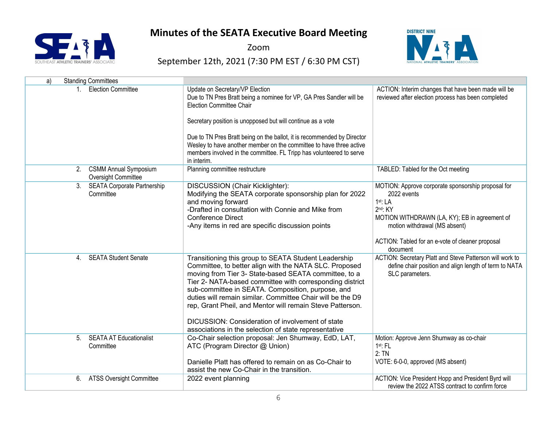

Zoom



| <b>Standing Committees</b><br>a)                                  |                                                                                                                                                                                                                                                                                                                                                                                                                                                                                                                                  |                                                                                                                                                                                                                                              |
|-------------------------------------------------------------------|----------------------------------------------------------------------------------------------------------------------------------------------------------------------------------------------------------------------------------------------------------------------------------------------------------------------------------------------------------------------------------------------------------------------------------------------------------------------------------------------------------------------------------|----------------------------------------------------------------------------------------------------------------------------------------------------------------------------------------------------------------------------------------------|
| <b>Election Committee</b>                                         | Update on Secretary/VP Election<br>Due to TN Pres Bratt being a nominee for VP, GA Pres Sandler will be<br><b>Election Committee Chair</b><br>Secretary position is unopposed but will continue as a vote<br>Due to TN Pres Bratt being on the ballot, it is recommended by Director<br>Wesley to have another member on the committee to have three active<br>members involved in the committee. FL Tripp has volunteered to serve<br>in interim.                                                                               | ACTION: Interim changes that have been made will be<br>reviewed after election process has been completed                                                                                                                                    |
| 2. CSMM Annual Symposium<br>Oversight Committee                   | Planning committee restructure                                                                                                                                                                                                                                                                                                                                                                                                                                                                                                   | TABLED: Tabled for the Oct meeting                                                                                                                                                                                                           |
| <b>SEATA Corporate Partnership</b><br>3 <sub>1</sub><br>Committee | DISCUSSION (Chair Kicklighter):<br>Modifying the SEATA corporate sponsorship plan for 2022<br>and moving forward<br>-Drafted in consultation with Connie and Mike from<br><b>Conference Direct</b><br>-Any items in red are specific discussion points                                                                                                                                                                                                                                                                           | MOTION: Approve corporate sponsorship proposal for<br>2022 events<br>1st: LA<br>$2nd$ : KY<br>MOTION WITHDRAWN (LA, KY); EB in agreement of<br>motion withdrawal (MS absent)<br>ACTION: Tabled for an e-vote of cleaner proposal<br>document |
| <b>SEATA Student Senate</b><br>4.                                 | Transitioning this group to SEATA Student Leadership<br>Committee, to better align with the NATA SLC. Proposed<br>moving from Tier 3- State-based SEATA committee, to a<br>Tier 2- NATA-based committee with corresponding district<br>sub-committee in SEATA. Composition, purpose, and<br>duties will remain similar. Committee Chair will be the D9<br>rep, Grant Pheil, and Mentor will remain Steve Patterson.<br>DICUSSION: Consideration of involvement of state<br>associations in the selection of state representative | ACTION: Secretary Platt and Steve Patterson will work to<br>define chair position and align length of term to NATA<br>SLC parameters.                                                                                                        |
| <b>SEATA AT Educationalist</b><br>5.<br>Committee                 | Co-Chair selection proposal: Jen Shumway, EdD, LAT,<br>ATC (Program Director @ Union)<br>Danielle Platt has offered to remain on as Co-Chair to<br>assist the new Co-Chair in the transition.                                                                                                                                                                                                                                                                                                                                    | Motion: Approve Jenn Shumway as co-chair<br>1st: FL<br>2:TN<br>VOTE: 6-0-0, approved (MS absent)                                                                                                                                             |
| <b>ATSS Oversight Committee</b><br>6.                             | 2022 event planning                                                                                                                                                                                                                                                                                                                                                                                                                                                                                                              | ACTION: Vice President Hopp and President Byrd will<br>review the 2022 ATSS contract to confirm force                                                                                                                                        |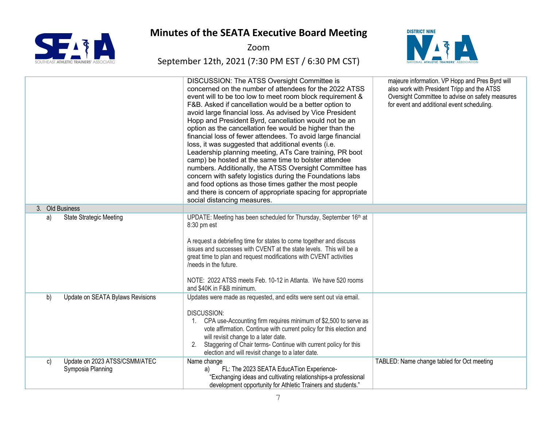

Zoom



|    |                                                    | DISCUSSION: The ATSS Oversight Committee is<br>concerned on the number of attendees for the 2022 ATSS<br>event will to be too low to meet room block requirement &<br>F&B. Asked if cancellation would be a better option to<br>avoid large financial loss. As advised by Vice President<br>Hopp and President Byrd, cancellation would not be an<br>option as the cancellation fee would be higher than the<br>financial loss of fewer attendees. To avoid large financial<br>loss, it was suggested that additional events (i.e.<br>Leadership planning meeting, ATs Care training, PR boot<br>camp) be hosted at the same time to bolster attendee<br>numbers. Additionally, the ATSS Oversight Committee has<br>concern with safety logistics during the Foundations labs<br>and food options as those times gather the most people<br>and there is concern of appropriate spacing for appropriate<br>social distancing measures. | majeure information. VP Hopp and Pres Byrd will<br>also work with President Tripp and the ATSS<br>Oversight Committee to advise on safety measures<br>for event and additional event scheduling. |
|----|----------------------------------------------------|---------------------------------------------------------------------------------------------------------------------------------------------------------------------------------------------------------------------------------------------------------------------------------------------------------------------------------------------------------------------------------------------------------------------------------------------------------------------------------------------------------------------------------------------------------------------------------------------------------------------------------------------------------------------------------------------------------------------------------------------------------------------------------------------------------------------------------------------------------------------------------------------------------------------------------------|--------------------------------------------------------------------------------------------------------------------------------------------------------------------------------------------------|
|    | 3. Old Business                                    |                                                                                                                                                                                                                                                                                                                                                                                                                                                                                                                                                                                                                                                                                                                                                                                                                                                                                                                                       |                                                                                                                                                                                                  |
| a) | <b>State Strategic Meeting</b>                     | UPDATE: Meeting has been scheduled for Thursday, September 16th at<br>8:30 pm est<br>A request a debriefing time for states to come together and discuss<br>issues and successes with CVENT at the state levels. This will be a<br>great time to plan and request modifications with CVENT activities<br>/needs in the future.<br>NOTE: 2022 ATSS meets Feb. 10-12 in Atlanta. We have 520 rooms<br>and \$40K in F&B minimum.                                                                                                                                                                                                                                                                                                                                                                                                                                                                                                         |                                                                                                                                                                                                  |
| b) | Update on SEATA Bylaws Revisions                   | Updates were made as requested, and edits were sent out via email.<br><b>DISCUSSION:</b><br>CPA use-Accounting firm requires minimum of \$2,500 to serve as<br>1.<br>vote affirmation. Continue with current policy for this election and<br>will revisit change to a later date.<br>Staggering of Chair terms- Continue with current policy for this<br>2.<br>election and will revisit change to a later date.                                                                                                                                                                                                                                                                                                                                                                                                                                                                                                                      |                                                                                                                                                                                                  |
| C) | Update on 2023 ATSS/CSMM/ATEC<br>Symposia Planning | Name change<br>FL: The 2023 SEATA EducATion Experience-<br>a)<br>"Exchanging ideas and cultivating relationships-a professional<br>development opportunity for Athletic Trainers and students."                                                                                                                                                                                                                                                                                                                                                                                                                                                                                                                                                                                                                                                                                                                                       | TABLED: Name change tabled for Oct meeting                                                                                                                                                       |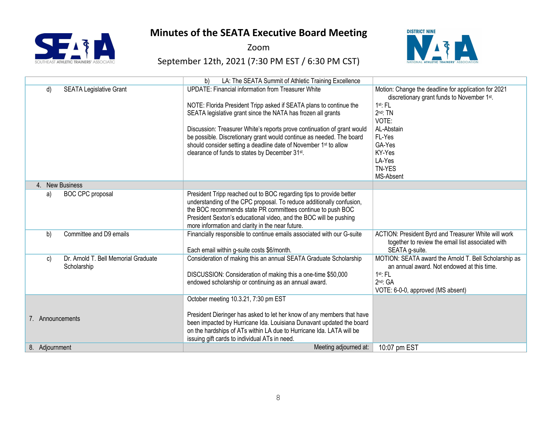

Zoom



|                                                           | LA: The SEATA Summit of Athletic Training Excellence<br>b)                                                                                                                                                                                                                                                                                                                                                                                                                           |                                                                                                                                                                                                                      |
|-----------------------------------------------------------|--------------------------------------------------------------------------------------------------------------------------------------------------------------------------------------------------------------------------------------------------------------------------------------------------------------------------------------------------------------------------------------------------------------------------------------------------------------------------------------|----------------------------------------------------------------------------------------------------------------------------------------------------------------------------------------------------------------------|
| <b>SEATA Legislative Grant</b><br>d)                      | <b>UPDATE: Financial information from Treasurer White</b><br>NOTE: Florida President Tripp asked if SEATA plans to continue the<br>SEATA legislative grant since the NATA has frozen all grants<br>Discussion: Treasurer White's reports prove continuation of grant would<br>be possible. Discretionary grant would continue as needed. The board<br>should consider setting a deadline date of November 1 <sup>st</sup> to allow<br>clearance of funds to states by December 31st. | Motion: Change the deadline for application for 2021<br>discretionary grant funds to November 1st.<br>$1st$ : FL<br>$2nd$ : TN<br>VOTE:<br>AL-Abstain<br>FL-Yes<br>GA-Yes<br>KY-Yes<br>LA-Yes<br>TN-YES<br>MS-Absent |
| 4. New Business                                           |                                                                                                                                                                                                                                                                                                                                                                                                                                                                                      |                                                                                                                                                                                                                      |
| <b>BOC CPC proposal</b><br>a)                             | President Tripp reached out to BOC regarding tips to provide better<br>understanding of the CPC proposal. To reduce additionally confusion,<br>the BOC recommends state PR committees continue to push BOC<br>President Sexton's educational video, and the BOC will be pushing<br>more information and clarity in the near future.                                                                                                                                                  |                                                                                                                                                                                                                      |
| b)<br>Committee and D9 emails                             | Financially responsible to continue emails associated with our G-suite<br>Each email within g-suite costs \$6/month.                                                                                                                                                                                                                                                                                                                                                                 | ACTION: President Byrd and Treasurer White will work<br>together to review the email list associated with<br>SEATA g-suite.                                                                                          |
| Dr. Arnold T. Bell Memorial Graduate<br>C)<br>Scholarship | Consideration of making this an annual SEATA Graduate Scholarship<br>DISCUSSION: Consideration of making this a one-time \$50,000<br>endowed scholarship or continuing as an annual award.                                                                                                                                                                                                                                                                                           | MOTION: SEATA award the Arnold T. Bell Scholarship as<br>an annual award. Not endowed at this time.<br>$1st$ : FL<br>$2nd$ : GA<br>VOTE: 6-0-0, approved (MS absent)                                                 |
| 7. Announcements                                          | October meeting 10.3.21, 7:30 pm EST<br>President Dieringer has asked to let her know of any members that have<br>been impacted by Hurricane Ida. Louisiana Dunavant updated the board<br>on the hardships of ATs within LA due to Hurricane Ida. LATA will be<br>issuing gift cards to individual ATs in need.                                                                                                                                                                      |                                                                                                                                                                                                                      |
| 8. Adjournment                                            | Meeting adjourned at:                                                                                                                                                                                                                                                                                                                                                                                                                                                                | 10:07 pm EST                                                                                                                                                                                                         |